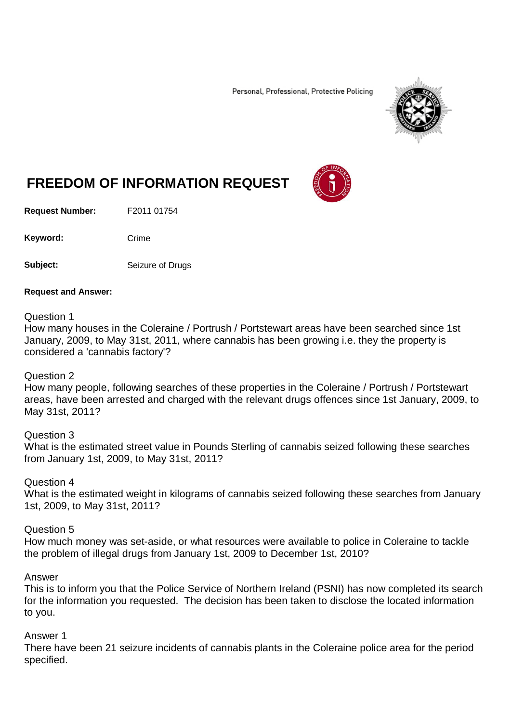Personal, Professional, Protective Policing



# **FREEDOM OF INFORMATION REQUEST**

**Request Number:** F2011 01754

Keyword: Crime

**Subject:** Seizure of Drugs

#### **Request and Answer:**

#### Question 1

How many houses in the Coleraine / Portrush / Portstewart areas have been searched since 1st January, 2009, to May 31st, 2011, where cannabis has been growing i.e. they the property is considered a 'cannabis factory'?

## Question 2

How many people, following searches of these properties in the Coleraine / Portrush / Portstewart areas, have been arrested and charged with the relevant drugs offences since 1st January, 2009, to May 31st, 2011?

Question 3 What is the estimated street value in Pounds Sterling of cannabis seized following these searches from January 1st, 2009, to May 31st, 2011?

Question 4 What is the estimated weight in kilograms of cannabis seized following these searches from January 1st, 2009, to May 31st, 2011?

Question 5

How much money was set-aside, or what resources were available to police in Coleraine to tackle the problem of illegal drugs from January 1st, 2009 to December 1st, 2010?

## Answer

This is to inform you that the Police Service of Northern Ireland (PSNI) has now completed its search for the information you requested. The decision has been taken to disclose the located information to you.

## Answer 1

There have been 21 seizure incidents of cannabis plants in the Coleraine police area for the period specified.